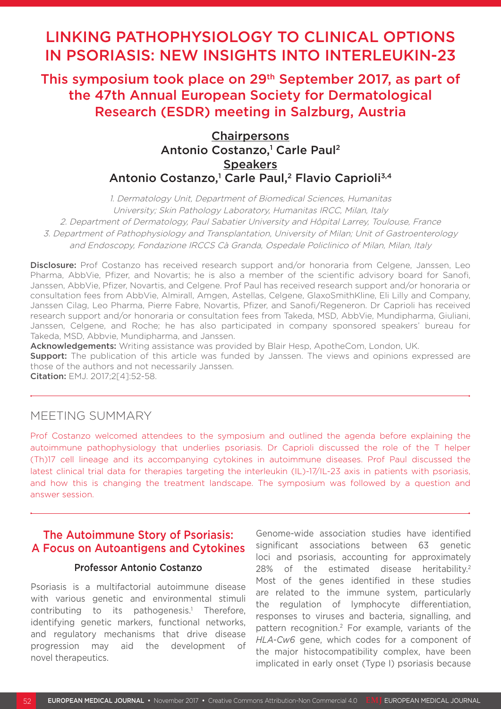# LINKING PATHOPHYSIOLOGY TO CLINICAL OPTIONS IN PSORIASIS: NEW INSIGHTS INTO INTERLEUKIN-23

This symposium took place on 29<sup>th</sup> September 2017, as part of the 47th Annual European Society for Dermatological Research (ESDR) meeting in Salzburg, Austria

# **Chairpersons** Antonio Costanzo,<sup>1</sup> Carle Paul<sup>2</sup> **Speakers** Antonio Costanzo,<sup>1</sup> Carle Paul,<sup>2</sup> Flavio Caprioli<sup>3,4</sup>

1. Dermatology Unit, Department of Biomedical Sciences, Humanitas University; Skin Pathology Laboratory, Humanitas IRCC, Milan, Italy 2. Department of Dermatology, Paul Sabatier University and Hôpital Larrey, Toulouse, France 3. Department of Pathophysiology and Transplantation, University of Milan; Unit of Gastroenterology and Endoscopy, Fondazione IRCCS Cà Granda, Ospedale Policlinico of Milan, Milan, Italy

Disclosure: Prof Costanzo has received research support and/or honoraria from Celgene, Janssen, Leo Pharma, AbbVie, Pfizer, and Novartis; he is also a member of the scientific advisory board for Sanofi, Janssen, AbbVie, Pfizer, Novartis, and Celgene. Prof Paul has received research support and/or honoraria or consultation fees from AbbVie, Almirall, Amgen, Astellas, Celgene, GlaxoSmithKline, Eli Lilly and Company, Janssen Cilag, Leo Pharma, Pierre Fabre, Novartis, Pfizer, and Sanofi/Regeneron. Dr Caprioli has received research support and/or honoraria or consultation fees from Takeda, MSD, AbbVie, Mundipharma, Giuliani, Janssen, Celgene, and Roche; he has also participated in company sponsored speakers' bureau for Takeda, MSD, Abbvie, Mundipharma, and Janssen.

Acknowledgements: Writing assistance was provided by Blair Hesp, ApotheCom, London, UK. **Support:** The publication of this article was funded by Janssen. The views and opinions expressed are those of the authors and not necessarily Janssen. Citation: EMJ. 2017;2[4]:52-58.

# MEETING SUMMARY

Prof Costanzo welcomed attendees to the symposium and outlined the agenda before explaining the autoimmune pathophysiology that underlies psoriasis. Dr Caprioli discussed the role of the T helper (Th)17 cell lineage and its accompanying cytokines in autoimmune diseases. Prof Paul discussed the latest clinical trial data for therapies targeting the interleukin (IL)-17/IL-23 axis in patients with psoriasis, and how this is changing the treatment landscape. The symposium was followed by a question and answer session.

# The Autoimmune Story of Psoriasis: A Focus on Autoantigens and Cytokines

## Professor Antonio Costanzo

Psoriasis is a multifactorial autoimmune disease with various genetic and environmental stimuli contributing to its pathogenesis.1 Therefore, identifying genetic markers, functional networks, and regulatory mechanisms that drive disease progression may aid the development of novel therapeutics.

Genome-wide association studies have identified significant associations between 63 genetic loci and psoriasis, accounting for approximately 28% of the estimated disease heritability.<sup>2</sup> Most of the genes identified in these studies are related to the immune system, particularly the regulation of lymphocyte differentiation, responses to viruses and bacteria, signalling, and pattern recognition.2 For example, variants of the *HLA-Cw6* gene, which codes for a component of the major histocompatibility complex, have been implicated in early onset (Type I) psoriasis because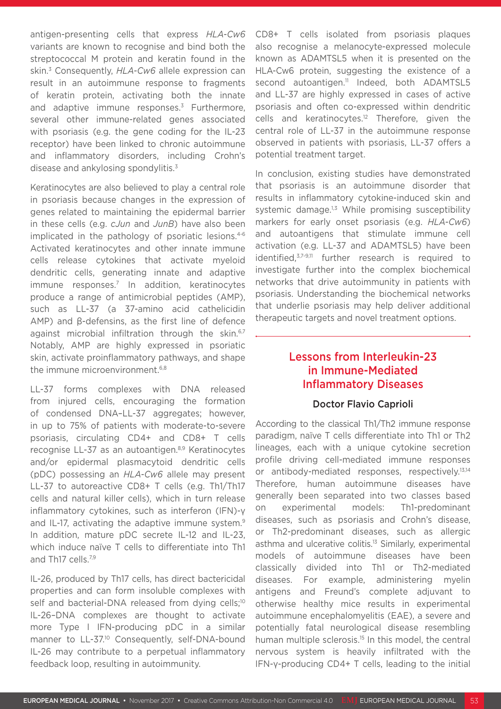antigen-presenting cells that express *HLA-Cw6* variants are known to recognise and bind both the streptococcal M protein and keratin found in the skin.3 Consequently, *HLA-Cw6* allele expression can result in an autoimmune response to fragments of keratin protein, activating both the innate and adaptive immune responses. $3$  Furthermore, several other immune-related genes associated with psoriasis (e.g. the gene coding for the IL-23 receptor) have been linked to chronic autoimmune and inflammatory disorders, including Crohn's disease and ankylosing spondylitis.<sup>3</sup>

Keratinocytes are also believed to play a central role in psoriasis because changes in the expression of genes related to maintaining the epidermal barrier in these cells (e.g. *cJun* and *JunB*) have also been implicated in the pathology of psoriatic lesions.<sup>4-6</sup> Activated keratinocytes and other innate immune cells release cytokines that activate myeloid dendritic cells, generating innate and adaptive immune responses.7 In addition, keratinocytes produce a range of antimicrobial peptides (AMP), such as LL-37 (a 37-amino acid cathelicidin AMP) and β-defensins, as the first line of defence against microbial infiltration through the skin.<sup>6,7</sup> Notably, AMP are highly expressed in psoriatic skin, activate proinflammatory pathways, and shape the immune microenvironment.6,8

LL-37 forms complexes with DNA released from injured cells, encouraging the formation of condensed DNA–LL-37 aggregates; however, in up to 75% of patients with moderate-to-severe psoriasis, circulating CD4+ and CD8+ T cells recognise LL-37 as an autoantigen.8,9 Keratinocytes and/or epidermal plasmacytoid dendritic cells (pDC) possessing an *HLA-Cw6* allele may present LL-37 to autoreactive CD8+ T cells (e.g. Th1/Th17 cells and natural killer cells), which in turn release inflammatory cytokines, such as interferon (IFN)-γ and IL-17, activating the adaptive immune system.<sup>9</sup> In addition, mature pDC secrete IL-12 and IL-23, which induce naïve T cells to differentiate into Th1 and Th17 cells.<sup>7,9</sup>

IL-26, produced by Th17 cells, has direct bactericidal properties and can form insoluble complexes with self and bacterial-DNA released from dying cells;<sup>10</sup> IL-26–DNA complexes are thought to activate more Type I IFN-producing pDC in a similar manner to LL-37.<sup>10</sup> Consequently, self-DNA-bound IL-26 may contribute to a perpetual inflammatory feedback loop, resulting in autoimmunity.

CD8+ T cells isolated from psoriasis plaques also recognise a melanocyte-expressed molecule known as ADAMTSL5 when it is presented on the HLA-Cw6 protein, suggesting the existence of a second autoantigen.<sup>11</sup> Indeed, both ADAMTSL5 and LL-37 are highly expressed in cases of active psoriasis and often co-expressed within dendritic cells and keratinocytes.<sup>12</sup> Therefore, given the central role of LL-37 in the autoimmune response observed in patients with psoriasis, LL-37 offers a potential treatment target.

In conclusion, existing studies have demonstrated that psoriasis is an autoimmune disorder that results in inflammatory cytokine-induced skin and systemic damage.<sup>1,3</sup> While promising susceptibility markers for early onset psoriasis (e.g. *HLA-Cw6*) and autoantigens that stimulate immune cell activation (e.g. LL-37 and ADAMTSL5) have been identified,3,7-9,11 further research is required to investigate further into the complex biochemical networks that drive autoimmunity in patients with psoriasis. Understanding the biochemical networks that underlie psoriasis may help deliver additional therapeutic targets and novel treatment options.

# Lessons from Interleukin-23 in Immune-Mediated Inflammatory Diseases

### Doctor Flavio Caprioli

According to the classical Th1/Th2 immune response paradigm, naïve T cells differentiate into Th1 or Th2 lineages, each with a unique cytokine secretion profile driving cell-mediated immune responses or antibody-mediated responses, respectively.13,14 Therefore, human autoimmune diseases have generally been separated into two classes based on experimental models: Th1-predominant diseases, such as psoriasis and Crohn's disease, or Th2-predominant diseases, such as allergic asthma and ulcerative colitis.<sup>13</sup> Similarly, experimental models of autoimmune diseases have been classically divided into Th1 or Th2-mediated diseases. For example, administering myelin antigens and Freund's complete adjuvant to otherwise healthy mice results in experimental autoimmune encephalomyelitis (EAE), a severe and potentially fatal neurological disease resembling human multiple sclerosis.<sup>15</sup> In this model, the central nervous system is heavily infiltrated with the IFN-γ-producing CD4+ T cells, leading to the initial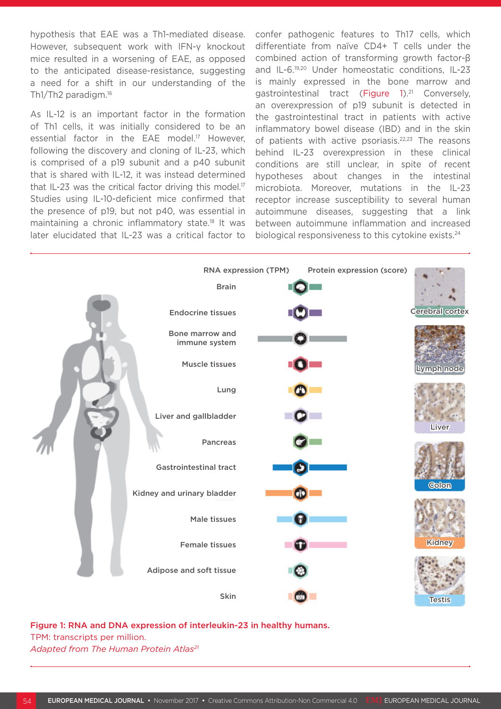hypothesis that EAE was a Th1-mediated disease. However, subsequent work with IFN-γ knockout mice resulted in a worsening of EAE, as opposed to the anticipated disease-resistance, suggesting a need for a shift in our understanding of the Th1/Th2 paradigm.16

As IL-12 is an important factor in the formation of Th1 cells, it was initially considered to be an essential factor in the EAE model.<sup>17</sup> However, following the discovery and cloning of IL-23, which is comprised of a p19 subunit and a p40 subunit that is shared with IL-12, it was instead determined that IL-23 was the critical factor driving this model.<sup>17</sup> Studies using IL-10-deficient mice confirmed that the presence of p19, but not p40, was essential in maintaining a chronic inflammatory state.18 It was later elucidated that IL-23 was a critical factor to confer pathogenic features to Th17 cells, which differentiate from naïve CD4+ T cells under the combined action of transforming growth factor-β and IL-6.19,20 Under homeostatic conditions, IL-23 is mainly expressed in the bone marrow and gastrointestinal tract (Figure 1).<sup>21</sup> Conversely, an overexpression of p19 subunit is detected in the gastrointestinal tract in patients with active inflammatory bowel disease (IBD) and in the skin of patients with active psoriasis.<sup>22,23</sup> The reasons behind IL-23 overexpression in these clinical conditions are still unclear, in spite of recent hypotheses about changes in the intestinal microbiota. Moreover, mutations in the IL-23 receptor increase susceptibility to several human autoimmune diseases, suggesting that a link between autoimmune inflammation and increased biological responsiveness to this cytokine exists.24



Figure 1: RNA and DNA expression of interleukin-23 in healthy humans. TPM: transcripts per million. *Adapted from The Human Protein Atlas21*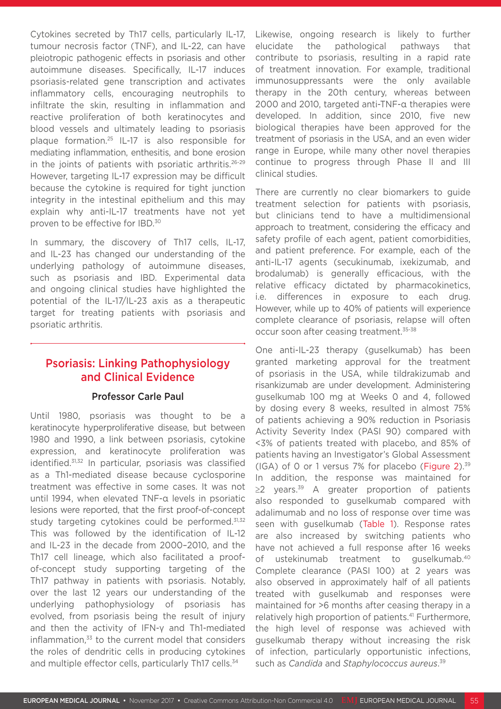Cytokines secreted by Th17 cells, particularly IL-17, tumour necrosis factor (TNF), and IL-22, can have pleiotropic pathogenic effects in psoriasis and other autoimmune diseases. Specifically, IL-17 induces psoriasis-related gene transcription and activates inflammatory cells, encouraging neutrophils to infiltrate the skin, resulting in inflammation and reactive proliferation of both keratinocytes and blood vessels and ultimately leading to psoriasis plaque formation.25 IL-17 is also responsible for mediating inflammation, enthesitis, and bone erosion in the joints of patients with psoriatic arthritis.<sup>26-29</sup> However, targeting IL-17 expression may be difficult because the cytokine is required for tight junction integrity in the intestinal epithelium and this may explain why anti-IL-17 treatments have not yet proven to be effective for IBD.30

In summary, the discovery of Th17 cells, IL-17, and IL-23 has changed our understanding of the underlying pathology of autoimmune diseases, such as psoriasis and IBD. Experimental data and ongoing clinical studies have highlighted the potential of the IL-17/IL-23 axis as a therapeutic target for treating patients with psoriasis and psoriatic arthritis.

# Psoriasis: Linking Pathophysiology and Clinical Evidence

### Professor Carle Paul

Until 1980, psoriasis was thought to be a keratinocyte hyperproliferative disease, but between 1980 and 1990, a link between psoriasis, cytokine expression, and keratinocyte proliferation was identified.<sup>31,32</sup> In particular, psoriasis was classified as a Th1-mediated disease because cyclosporine treatment was effective in some cases. It was not until 1994, when elevated TNF-α levels in psoriatic lesions were reported, that the first proof-of-concept study targeting cytokines could be performed.<sup>31,32</sup> This was followed by the identification of IL-12 and IL-23 in the decade from 2000–2010, and the Th17 cell lineage, which also facilitated a proofof-concept study supporting targeting of the Th17 pathway in patients with psoriasis. Notably, over the last 12 years our understanding of the underlying pathophysiology of psoriasis has evolved, from psoriasis being the result of injury and then the activity of IFN-γ and Th1-mediated inflammation, $33$  to the current model that considers the roles of dendritic cells in producing cytokines and multiple effector cells, particularly Th17 cells.<sup>34</sup>

Likewise, ongoing research is likely to further elucidate the pathological pathways that contribute to psoriasis, resulting in a rapid rate of treatment innovation. For example, traditional immunosuppressants were the only available therapy in the 20th century, whereas between 2000 and 2010, targeted anti-TNF-α therapies were developed. In addition, since 2010, five new biological therapies have been approved for the treatment of psoriasis in the USA, and an even wider range in Europe, while many other novel therapies continue to progress through Phase II and III clinical studies.

There are currently no clear biomarkers to guide treatment selection for patients with psoriasis, but clinicians tend to have a multidimensional approach to treatment, considering the efficacy and safety profile of each agent, patient comorbidities, and patient preference. For example, each of the anti-IL-17 agents (secukinumab, ixekizumab, and brodalumab) is generally efficacious, with the relative efficacy dictated by pharmacokinetics, i.e. differences in exposure to each drug. However, while up to 40% of patients will experience complete clearance of psoriasis, relapse will often occur soon after ceasing treatment.35-38

One anti-IL-23 therapy (guselkumab) has been granted marketing approval for the treatment of psoriasis in the USA, while tildrakizumab and risankizumab are under development. Administering guselkumab 100 mg at Weeks 0 and 4, followed by dosing every 8 weeks, resulted in almost 75% of patients achieving a 90% reduction in Psoriasis Activity Severity Index (PASI 90) compared with <3% of patients treated with placebo, and 85% of patients having an Investigator's Global Assessment (IGA) of 0 or 1 versus 7% for placebo (Figure 2). $39$ In addition, the response was maintained for  $\geq$  years.<sup>39</sup> A greater proportion of patients also responded to guselkumab compared with adalimumab and no loss of response over time was seen with guselkumab (Table 1). Response rates are also increased by switching patients who have not achieved a full response after 16 weeks of ustekinumab treatment to guselkumab.40 Complete clearance (PASI 100) at 2 years was also observed in approximately half of all patients treated with guselkumab and responses were maintained for >6 months after ceasing therapy in a relatively high proportion of patients.<sup>41</sup> Furthermore, the high level of response was achieved with guselkumab therapy without increasing the risk of infection, particularly opportunistic infections, such as *Candida* and *Staphylococcus aureus*. 39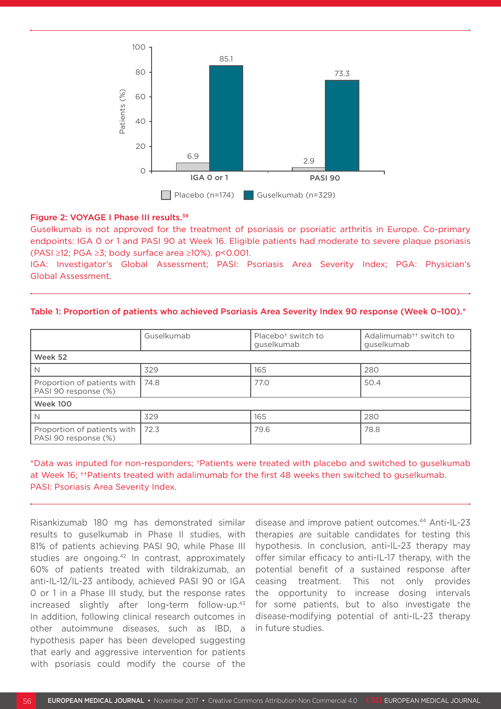

#### Figure 2: VOYAGE I Phase III results.39

Guselkumab is not approved for the treatment of psoriasis or psoriatic arthritis in Europe. Co-primary endpoints: IGA 0 or 1 and PASI 90 at Week 16. Eligible patients had moderate to severe plaque psoriasis (PASI ≥12; PGA ≥3; body surface area ≥10%). p<0.001.

IGA: Investigator's Global Assessment; PASI: Psoriasis Area Severity Index; PGA: Physician's Global Assessment.

#### Table 1: Proportion of patients who achieved Psoriasis Area Severity Index 90 response (Week 0–100).\*

|                                                     | Guselkumab | Placebo <sup>+</sup> switch to<br>guselkumab | Adalimumab <sup>++</sup> switch to<br>guselkumab |
|-----------------------------------------------------|------------|----------------------------------------------|--------------------------------------------------|
| Week 52                                             |            |                                              |                                                  |
| N                                                   | 329        | 165                                          | 280                                              |
| Proportion of patients with<br>PASI 90 response (%) | 74.8       | 77.0                                         | 50.4                                             |
| <b>Week 100</b>                                     |            |                                              |                                                  |
|                                                     | 329        | 165                                          | 280                                              |
| Proportion of patients with<br>PASI 90 response (%) | 172.3      | 79.6                                         | 78.8                                             |

\*Data was inputed for non-responders; †Patients were treated with placebo and switched to guselkumab at Week 16; ††Patients treated with adalimumab for the first 48 weeks then switched to guselkumab. PASI: Psoriasis Area Severity Index.

Risankizumab 180 mg has demonstrated similar results to guselkumab in Phase II studies, with 81% of patients achieving PASI 90, while Phase III studies are ongoing.<sup>42</sup> In contrast, approximately 60% of patients treated with tildrakizumab, an anti-IL-12/IL-23 antibody, achieved PASI 90 or IGA 0 or 1 in a Phase III study, but the response rates increased slightly after long-term follow-up.<sup>43</sup> In addition, following clinical research outcomes in other autoimmune diseases, such as IBD, a hypothesis paper has been developed suggesting that early and aggressive intervention for patients with psoriasis could modify the course of the

disease and improve patient outcomes.44 Anti-IL-23 therapies are suitable candidates for testing this hypothesis. In conclusion, anti-IL-23 therapy may offer similar efficacy to anti-IL-17 therapy, with the potential benefit of a sustained response after ceasing treatment. This not only provides the opportunity to increase dosing intervals for some patients, but to also investigate the disease-modifying potential of anti-IL-23 therapy in future studies.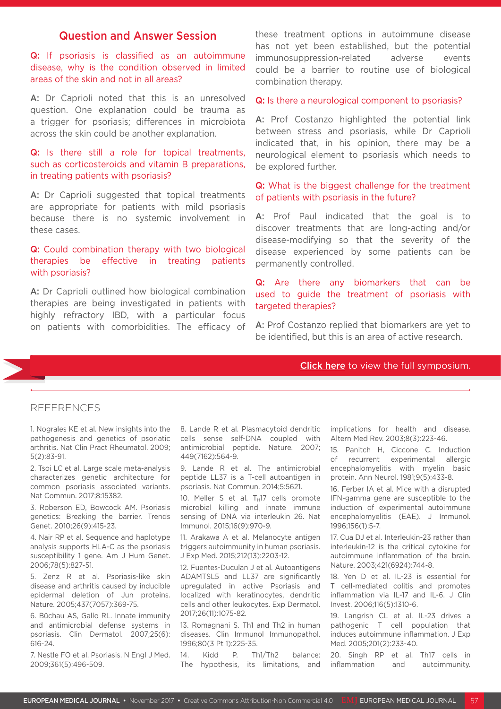### Question and Answer Session

Q: If psoriasis is classified as an autoimmune disease, why is the condition observed in limited areas of the skin and not in all areas?

A: Dr Caprioli noted that this is an unresolved question. One explanation could be trauma as a trigger for psoriasis; differences in microbiota across the skin could be another explanation.

Q: Is there still a role for topical treatments, such as corticosteroids and vitamin B preparations, in treating patients with psoriasis?

A: Dr Caprioli suggested that topical treatments are appropriate for patients with mild psoriasis because there is no systemic involvement in these cases.

### Q: Could combination therapy with two biological therapies be effective in treating patients with psoriasis?

A: Dr Caprioli outlined how biological combination therapies are being investigated in patients with highly refractory IBD, with a particular focus on patients with comorbidities. The efficacy of these treatment options in autoimmune disease has not yet been established, but the potential immunosuppression-related adverse events could be a barrier to routine use of biological combination therapy.

Q: Is there a neurological component to psoriasis?

A: Prof Costanzo highlighted the potential link between stress and psoriasis, while Dr Caprioli indicated that, in his opinion, there may be a neurological element to psoriasis which needs to be explored further.

### Q: What is the biggest challenge for the treatment of patients with psoriasis in the future?

A: Prof Paul indicated that the goal is to discover treatments that are long-acting and/or disease-modifying so that the severity of the disease experienced by some patients can be permanently controlled.

Q: Are there any biomarkers that can be used to guide the treatment of psoriasis with targeted therapies?

A: Prof Costanzo replied that biomarkers are yet to be identified, but this is an area of active research.

#### Click here to view the full symposium.

#### REFERENCES

1. Nograles KE et al. New insights into the pathogenesis and genetics of psoriatic arthritis. Nat Clin Pract Rheumatol. 2009; 5(2):83-91.

2. Tsoi LC et al. Large scale meta-analysis characterizes genetic architecture for common psoriasis associated variants. Nat Commun. 2017;8:15382.

3. Roberson ED, Bowcock AM. Psoriasis genetics: Breaking the barrier. Trends Genet. 2010;26(9):415-23.

4. Nair RP et al. Sequence and haplotype analysis supports HLA-C as the psoriasis susceptibility 1 gene. Am J Hum Genet. 2006;78(5):827-51.

5. Zenz R et al. Psoriasis-like skin disease and arthritis caused by inducible epidermal deletion of Jun proteins. Nature. 2005;437(7057):369-75.

6. Büchau AS, Gallo RL. Innate immunity and antimicrobial defense systems in psoriasis. Clin Dermatol. 2007;25(6): 616-24.

7. Nestle FO et al. Psoriasis. N Engl J Med. 2009;361(5):496-509.

8. Lande R et al. Plasmacytoid dendritic cells sense self-DNA coupled with antimicrobial peptide. Nature. 2007; 449(7162):564-9.

9. Lande R et al. The antimicrobial peptide LL37 is a T-cell autoantigen in psoriasis. Nat Commun. 2014;5:5621.

10. Meller S et al.  $T_H$ 17 cells promote microbial killing and innate immune sensing of DNA via interleukin 26. Nat Immunol. 2015;16(9):970-9.

11. Arakawa A et al. Melanocyte antigen triggers autoimmunity in human psoriasis. J Exp Med. 2015;212(13):2203-12.

12. Fuentes-Duculan J et al. Autoantigens ADAMTSL5 and LL37 are significantly upregulated in active Psoriasis and localized with keratinocytes, dendritic cells and other leukocytes. Exp Dermatol. 2017;26(11):1075-82.

13. Romagnani S. Th1 and Th2 in human diseases. Clin Immunol Immunopathol. 1996;80(3 Pt 1):225-35.

14. Kidd P. Th1/Th2 balance: The hypothesis, its limitations, and implications for health and disease. Altern Med Rev. 2003;8(3):223-46.

15. Panitch H, Ciccone C. Induction<br>of recurrent experimental allergic recurrent experimental allergic encephalomyelitis with myelin basic protein. Ann Neurol. 1981;9(5):433-8.

16. Ferber IA et al. Mice with a disrupted IFN-gamma gene are susceptible to the induction of experimental autoimmune encephalomyelitis (EAE). J Immunol. 1996;156(1):5-7.

17. Cua DJ et al. Interleukin-23 rather than interleukin-12 is the critical cytokine for autoimmune inflammation of the brain. Nature. 2003;421(6924):744-8.

18. Yen D et al. IL-23 is essential for T cell-mediated colitis and promotes inflammation via IL-17 and IL-6. J Clin Invest. 2006;116(5):1310-6.

19. Langrish CL et al. IL-23 drives a pathogenic T cell population that induces autoimmune inflammation. J Exp Med. 2005;201(2):233-40.

20. Singh RP et al. Th17 cells in inflammation and autoimmunity.